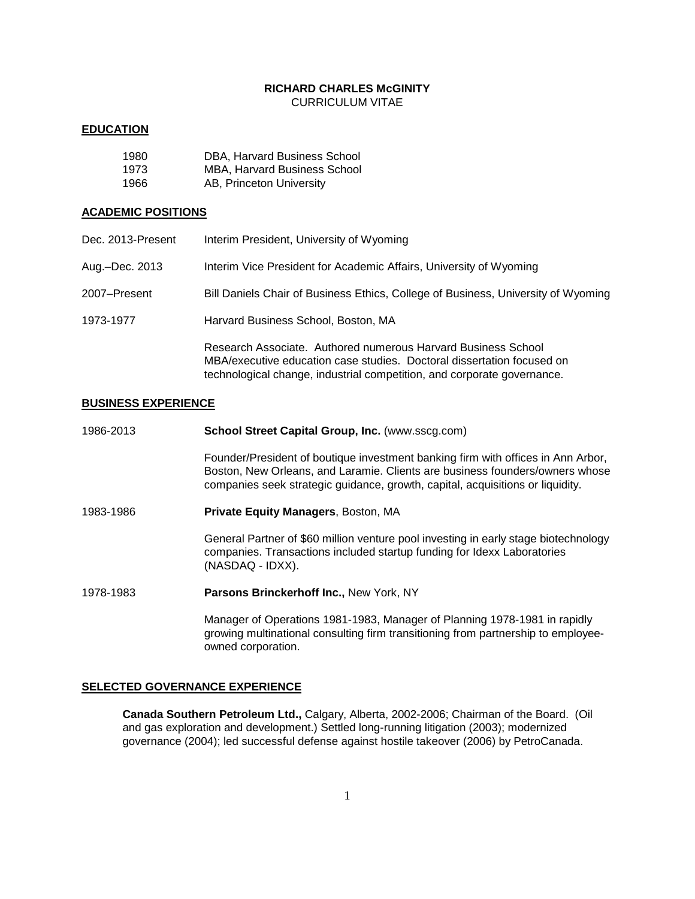# **RICHARD CHARLES McGINITY** CURRICULUM VITAE

### **EDUCATION**

| 1980 | DBA. Harvard Business School        |
|------|-------------------------------------|
| 1973 | <b>MBA. Harvard Business School</b> |
| 1966 | AB, Princeton University            |

## **ACADEMIC POSITIONS**

| Dec. 2013-Present | Interim President, University of Wyoming                                                                                                                                                                           |
|-------------------|--------------------------------------------------------------------------------------------------------------------------------------------------------------------------------------------------------------------|
| Aug.-Dec. 2013    | Interim Vice President for Academic Affairs, University of Wyoming                                                                                                                                                 |
| 2007-Present      | Bill Daniels Chair of Business Ethics, College of Business, University of Wyoming                                                                                                                                  |
| 1973-1977         | Harvard Business School, Boston, MA                                                                                                                                                                                |
|                   | Research Associate. Authored numerous Harvard Business School<br>MBA/executive education case studies. Doctoral dissertation focused on<br>technological change, industrial competition, and corporate governance. |

### **BUSINESS EXPERIENCE**

| 1986-2013 | School Street Capital Group, Inc. (www.sscg.com)                                                                                                                                                                                                   |
|-----------|----------------------------------------------------------------------------------------------------------------------------------------------------------------------------------------------------------------------------------------------------|
|           | Founder/President of boutique investment banking firm with offices in Ann Arbor,<br>Boston, New Orleans, and Laramie. Clients are business founders/owners whose<br>companies seek strategic guidance, growth, capital, acquisitions or liquidity. |
| 1983-1986 | <b>Private Equity Managers, Boston, MA</b>                                                                                                                                                                                                         |
|           | General Partner of \$60 million venture pool investing in early stage biotechnology<br>companies. Transactions included startup funding for Idexx Laboratories<br>(NASDAQ - IDXX).                                                                 |
| 1978-1983 | Parsons Brinckerhoff Inc., New York, NY                                                                                                                                                                                                            |
|           | Manager of Operations 1981-1983, Manager of Planning 1978-1981 in rapidly<br>growing multinational consulting firm transitioning from partnership to employee-                                                                                     |

**SELECTED GOVERNANCE EXPERIENCE**

owned corporation.

**Canada Southern Petroleum Ltd.,** Calgary, Alberta, 2002-2006; Chairman of the Board. (Oil and gas exploration and development.) Settled long-running litigation (2003); modernized governance (2004); led successful defense against hostile takeover (2006) by PetroCanada.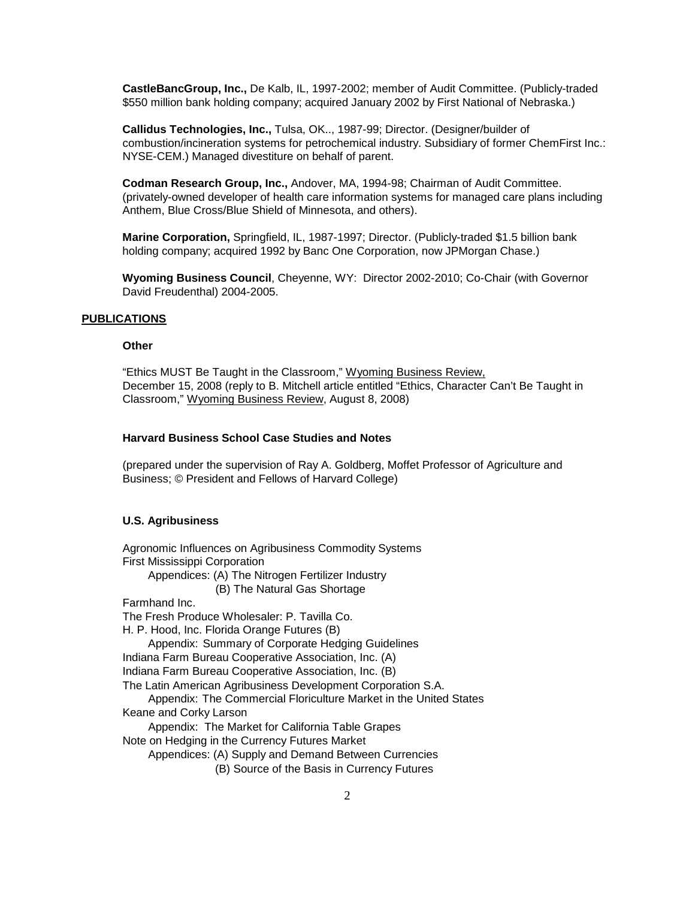**CastleBancGroup, Inc.,** De Kalb, IL, 1997-2002; member of Audit Committee. (Publicly-traded \$550 million bank holding company; acquired January 2002 by First National of Nebraska.)

**Callidus Technologies, Inc.,** Tulsa, OK.., 1987-99; Director. (Designer/builder of combustion/incineration systems for petrochemical industry. Subsidiary of former ChemFirst Inc.: NYSE-CEM.) Managed divestiture on behalf of parent.

**Codman Research Group, Inc.,** Andover, MA, 1994-98; Chairman of Audit Committee. (privately-owned developer of health care information systems for managed care plans including Anthem, Blue Cross/Blue Shield of Minnesota, and others).

**Marine Corporation,** Springfield, IL, 1987-1997; Director. (Publicly-traded \$1.5 billion bank holding company; acquired 1992 by Banc One Corporation, now JPMorgan Chase.)

**Wyoming Business Council**, Cheyenne, WY: Director 2002-2010; Co-Chair (with Governor David Freudenthal) 2004-2005.

### **PUBLICATIONS**

### **Other**

"Ethics MUST Be Taught in the Classroom," Wyoming Business Review, December 15, 2008 (reply to B. Mitchell article entitled "Ethics, Character Can't Be Taught in Classroom," Wyoming Business Review, August 8, 2008)

## **Harvard Business School Case Studies and Notes**

(prepared under the supervision of Ray A. Goldberg, Moffet Professor of Agriculture and Business; © President and Fellows of Harvard College)

#### **U.S. Agribusiness**

Agronomic Influences on Agribusiness Commodity Systems First Mississippi Corporation Appendices: (A) The Nitrogen Fertilizer Industry (B) The Natural Gas Shortage Farmhand Inc. The Fresh Produce Wholesaler: P. Tavilla Co. H. P. Hood, Inc. Florida Orange Futures (B) Appendix: Summary of Corporate Hedging Guidelines Indiana Farm Bureau Cooperative Association, Inc. (A) Indiana Farm Bureau Cooperative Association, Inc. (B) The Latin American Agribusiness Development Corporation S.A. Appendix: The Commercial Floriculture Market in the United States Keane and Corky Larson Appendix: The Market for California Table Grapes Note on Hedging in the Currency Futures Market Appendices: (A) Supply and Demand Between Currencies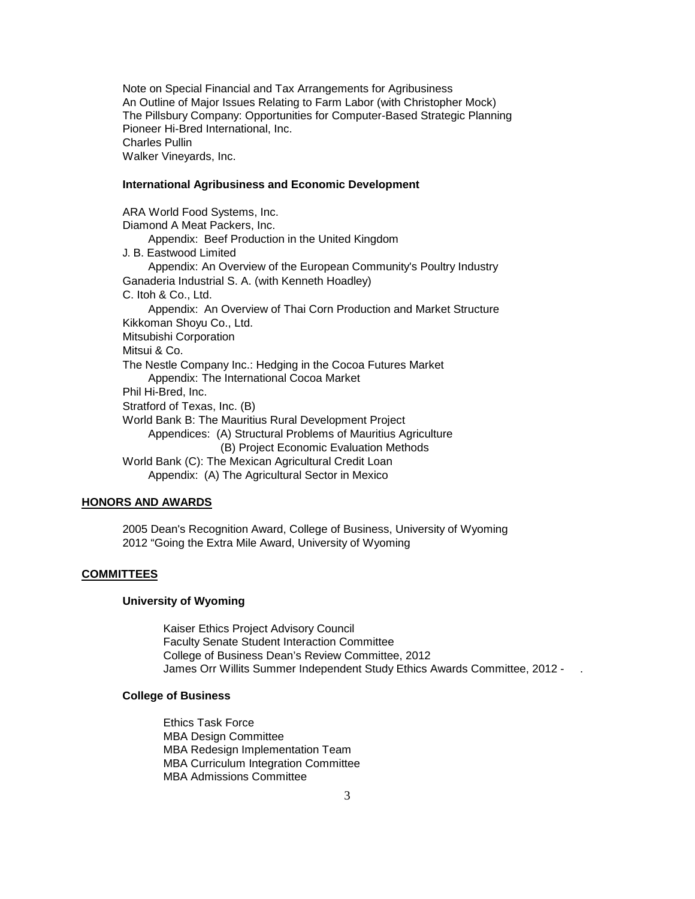Note on Special Financial and Tax Arrangements for Agribusiness An Outline of Major Issues Relating to Farm Labor (with Christopher Mock) The Pillsbury Company: Opportunities for Computer-Based Strategic Planning Pioneer Hi-Bred International, Inc. Charles Pullin Walker Vineyards, Inc.

### **International Agribusiness and Economic Development**

ARA World Food Systems, Inc. Diamond A Meat Packers, Inc. Appendix: Beef Production in the United Kingdom J. B. Eastwood Limited Appendix: An Overview of the European Community's Poultry Industry Ganaderia Industrial S. A. (with Kenneth Hoadley) C. Itoh & Co., Ltd. Appendix: An Overview of Thai Corn Production and Market Structure Kikkoman Shoyu Co., Ltd. Mitsubishi Corporation Mitsui & Co. The Nestle Company Inc.: Hedging in the Cocoa Futures Market Appendix: The International Cocoa Market Phil Hi-Bred, Inc. Stratford of Texas, Inc. (B) World Bank B: The Mauritius Rural Development Project Appendices: (A) Structural Problems of Mauritius Agriculture (B) Project Economic Evaluation Methods World Bank (C): The Mexican Agricultural Credit Loan Appendix: (A) The Agricultural Sector in Mexico

### **HONORS AND AWARDS**

2005 Dean's Recognition Award, College of Business, University of Wyoming 2012 "Going the Extra Mile Award, University of Wyoming

### **COMMITTEES**

### **University of Wyoming**

Kaiser Ethics Project Advisory Council Faculty Senate Student Interaction Committee College of Business Dean's Review Committee, 2012 James Orr Willits Summer Independent Study Ethics Awards Committee, 2012 - .

### **College of Business**

Ethics Task Force MBA Design Committee MBA Redesign Implementation Team MBA Curriculum Integration Committee MBA Admissions Committee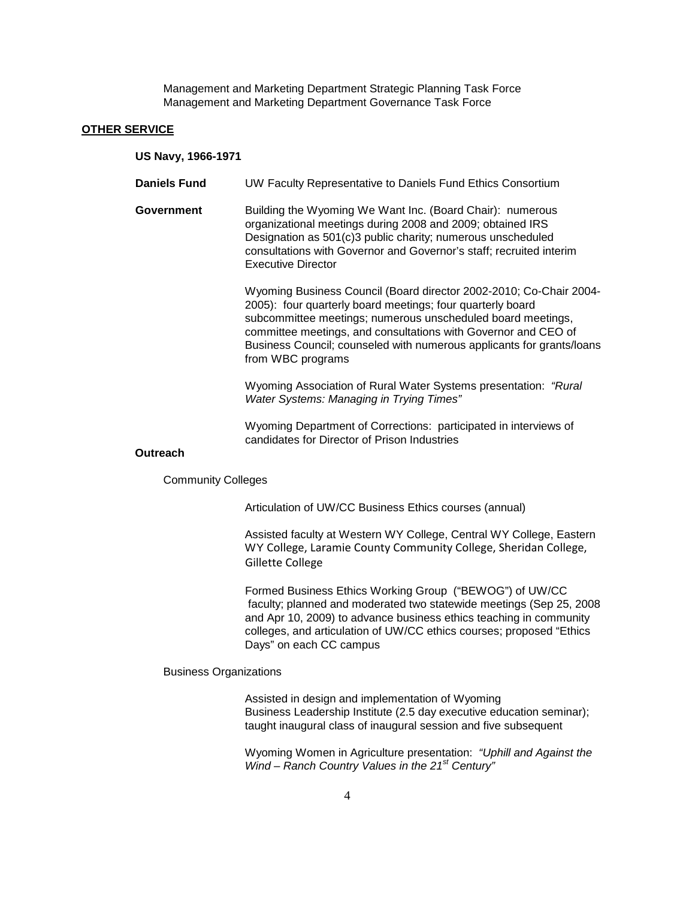Management and Marketing Department Strategic Planning Task Force Management and Marketing Department Governance Task Force

#### **OTHER SERVICE**

**US Navy, 1966-1971**

- **Daniels Fund** UW Faculty Representative to Daniels Fund Ethics Consortium
- **Government** Building the Wyoming We Want Inc. (Board Chair): numerous organizational meetings during 2008 and 2009; obtained IRS Designation as 501(c)3 public charity; numerous unscheduled consultations with Governor and Governor's staff; recruited interim Executive Director

Wyoming Business Council (Board director 2002-2010; Co-Chair 2004- 2005): four quarterly board meetings; four quarterly board subcommittee meetings; numerous unscheduled board meetings, committee meetings, and consultations with Governor and CEO of Business Council; counseled with numerous applicants for grants/loans from WBC programs

Wyoming Association of Rural Water Systems presentation: *"Rural Water Systems: Managing in Trying Times"*

Wyoming Department of Corrections: participated in interviews of candidates for Director of Prison Industries

## **Outreach**

Community Colleges

Articulation of UW/CC Business Ethics courses (annual)

Assisted faculty at Western WY College, Central WY College, Eastern WY College, Laramie County Community College, Sheridan College, Gillette College

Formed Business Ethics Working Group ("BEWOG") of UW/CC faculty; planned and moderated two statewide meetings (Sep 25, 2008 and Apr 10, 2009) to advance business ethics teaching in community colleges, and articulation of UW/CC ethics courses; proposed "Ethics Days" on each CC campus

Business Organizations

Assisted in design and implementation of Wyoming Business Leadership Institute (2.5 day executive education seminar); taught inaugural class of inaugural session and five subsequent

Wyoming Women in Agriculture presentation: *"Uphill and Against the Wind – Ranch Country Values in the 21st Century"*